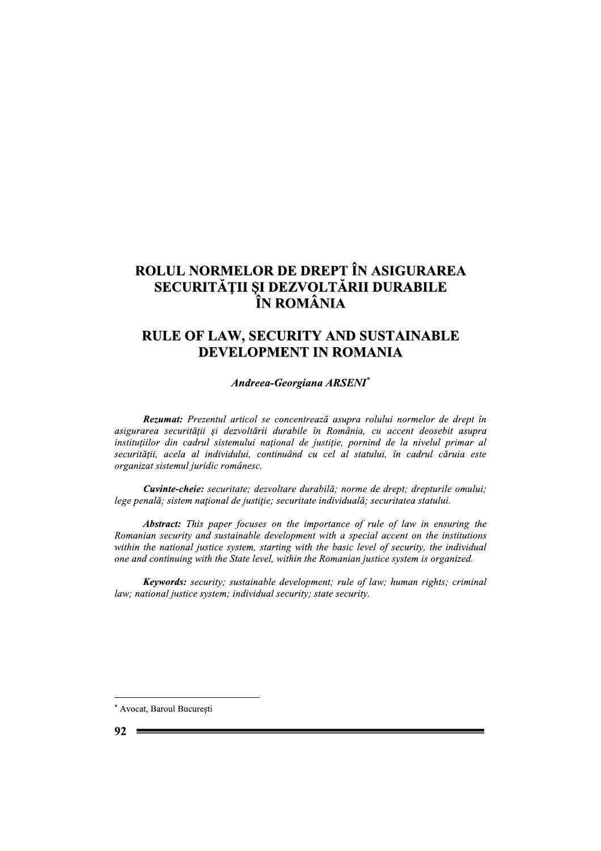# ROLUL NORMELOR DE DREPT ÎN ASIGURAREA SECURITĂȚII ȘI DEZVOLTĂRII DURABILE ÎN ROMÂNIA

### **RULE OF LAW, SECURITY AND SUSTAINABLE DEVELOPMENT IN ROMANIA**

Andreea-Georgiana ARSENI\*

Rezumat: Prezentul articol se concentrează asupra rolului normelor de drept în asigurarea securității și dezvoltării durabile în România, cu accent deosebit asupra instituțiilor din cadrul sistemului național de justiție, pornind de la nivelul primar al securității, acela al individului, continuând cu cel al statului, în cadrul căruia este organizat sistemul juridic românesc.

Cuvinte-cheie: securitate; dezvoltare durabilă; norme de drept; drepturile omului; lege penală; sistem național de justiție; securitate individuală; securitatea statului.

Abstract: This paper focuses on the importance of rule of law in ensuring the Romanian security and sustainable development with a special accent on the institutions within the national justice system, starting with the basic level of security, the individual one and continuing with the State level, within the Romanian justice system is organized.

**Keywords:** security; sustainable development; rule of law; human rights; criminal law; national justice system; individual security; state security.

<sup>\*</sup> Avocat, Baroul București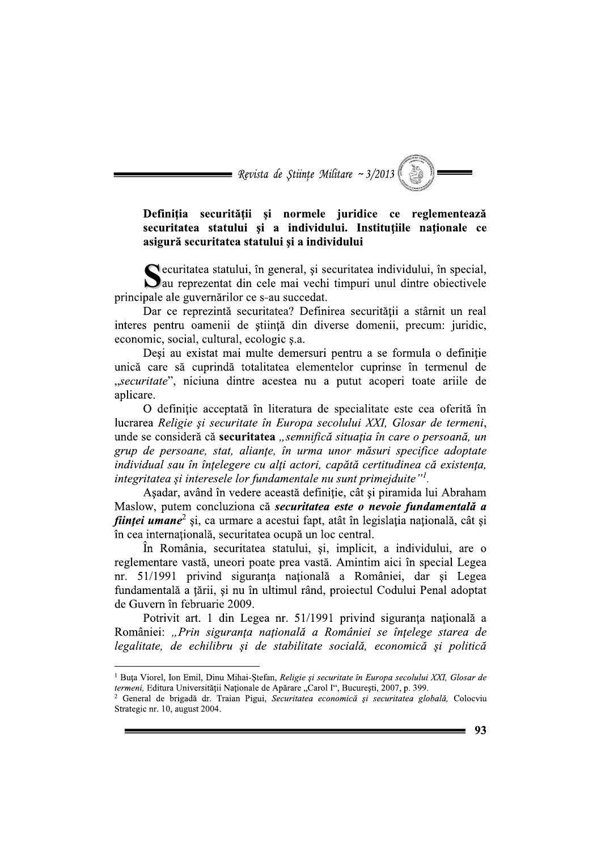= Revista de Stünțe Militare ~ 3/2013

### Definiția securității și normele juridice ce reglementează securitatea statului și a individului. Instituțiile naționale ce asigură securitatea statului și a individului

Necuritatea statului, în general, și securitatea individului, în special, Dau reprezentat din cele mai vechi timpuri unul dintre obiectivele principale ale guvernărilor ce s-au succedat.

Dar ce reprezintă securitatea? Definirea securității a stârnit un real interes pentru oamenii de știință din diverse domenii, precum: juridic, economic, social, cultural, ecologic s.a.

Desi au existat mai multe demersuri pentru a se formula o definitie unică care să cuprindă totalitatea elementelor cuprinse în termenul de "securitate", niciuna dintre acestea nu a putut acoperi toate ariile de aplicare.

O definiție acceptată în literatura de specialitate este cea oferită în lucrarea Religie și securitate în Europa secolului XXI, Glosar de termeni, unde se consideră că securitatea "semnifică situația în care o persoană, un grup de persoane, stat, alianțe, în urma unor măsuri specifice adoptate individual sau în întelegere cu alti actori, capătă certitudinea că existenta, integritatea și interesele lor fundamentale nu sunt primejduite".

Asadar, având în vedere această definitie, cât și piramida lui Abraham Maslow, putem concluziona că securitatea este o nevoie fundamentală a *ființei umane*<sup>2</sup> și, ca urmare a acestui fapt, atât în legislația națională, cât și în cea internațională, securitatea ocupă un loc central.

În România, securitatea statului, și, implicit, a individului, are o reglementare vastă, uneori poate prea vastă. Amintim aici în special Legea nr. 51/1991 privind siguranța națională a României, dar și Legea fundamentală a țării, și nu în ultimul rând, proiectul Codului Penal adoptat de Guvern în februarie 2009.

Potrivit art. 1 din Legea nr. 51/1991 privind siguranța națională a României: "Prin siguranța națională a României se înțelege starea de legalitate, de echilibru și de stabilitate socială, economică și politică

<sup>&</sup>lt;sup>1</sup> Buța Viorel, Ion Emil, Dinu Mihai-Ștefan, Religie și securitate în Europa secolului XXI, Glosar de termeni, Editura Universității Naționale de Apărare "Carol I", București, 2007, p. 399.

General de brigadă dr. Traian Pigui, Securitatea economică și securitatea globală, Colocviu Strategic nr. 10, august 2004.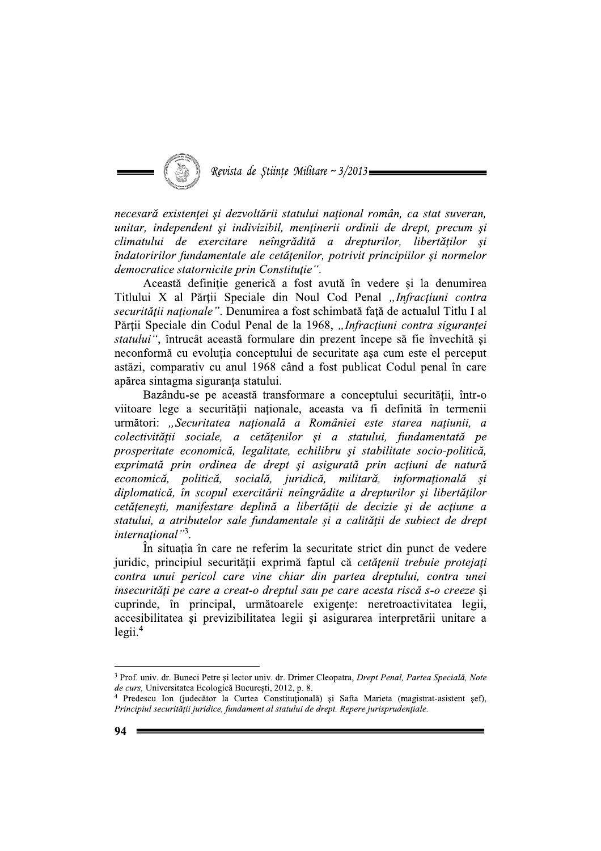## Revista de Stiințe Militare ~ 3/2013

necesară existenței și dezvoltării statului național român, ca stat suveran, unitar, independent și indivizibil, mentinerii ordinii de drept, precum și climatului de exercitare neîngrădită a drepturilor, libertăților și îndatoririlor fundamentale ale cetățenilor, potrivit principiilor și normelor democratice statornicite prin Constituție".

Această definitie generică a fost avută în vedere și la denumirea Titlului X al Părtii Speciale din Noul Cod Penal "Infractiuni contra securității naționale". Denumirea a fost schimbată față de actualul Titlu I al Părții Speciale din Codul Penal de la 1968, "Infracțiuni contra siguranței statului", întrucât această formulare din prezent începe să fie învechită și neconformă cu evoluția conceptului de securitate asa cum este el perceput astăzi, comparativ cu anul 1968 când a fost publicat Codul penal în care apărea sintagma siguranța statului.

Bazându-se pe această transformare a conceptului securității, într-o viitoare lege a securității naționale, aceasta va fi definită în termenii următori: "Securitatea națională a României este starea națiunii, a colectivității sociale, a cetățenilor și a statului, fundamentată pe prosperitate economică, legalitate, echilibru și stabilitate socio-politică, exprimată prin ordinea de drept și asigurată prin acțiuni de natură economică, politică, socială, juridică, militară, informațională și diplomatică, în scopul exercitării neîngrădite a drepturilor și libertăților cetățenești, manifestare deplină a libertății de decizie și de acțiune a statului, a atributelor sale fundamentale și a calității de subiect de drept *international*"<sup>3</sup>.

În situația în care ne referim la securitate strict din punct de vedere juridic, principiul securității exprimă faptul că cetătenii trebuie protejati contra unui pericol care vine chiar din partea dreptului, contra unei insecurități pe care a creat-o dreptul sau pe care acesta riscă s-o creeze și cuprinde, în principal, următoarele exigente: neretroactivitatea legii, accesibilitatea și previzibilitatea legii și asigurarea interpretării unitare a  $legii.<sup>4</sup>$ 

<sup>&</sup>lt;sup>3</sup> Prof. univ. dr. Buneci Petre și lector univ. dr. Drimer Cleopatra, Drept Penal, Partea Specială, Note de curs, Universitatea Ecologică București, 2012, p. 8.

Predescu Ion (judecător la Curtea Constituțională) și Safta Marieta (magistrat-asistent șef), Principiul securității juridice, fundament al statului de drept. Repere jurisprudențiale.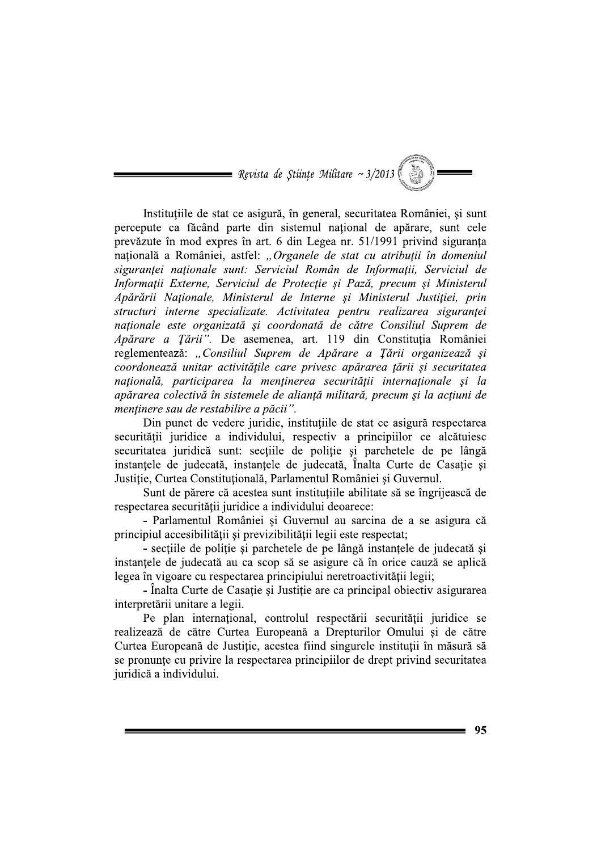$\hspace{1.5cm}$  Revista de Științe Militare ~ 3/2013 (

Instituțiile de stat ce asigură, în general, securitatea României, și sunt percepute ca făcând parte din sistemul național de apărare, sunt cele prevăzute în mod expres în art. 6 din Legea nr. 51/1991 privind siguranța națională a României, astfel: "Organele de stat cu atribuții în domeniul siguranței naționale sunt: Serviciul Român de Informații, Serviciul de Informații Externe, Serviciul de Protecție și Pază, precum și Ministerul Apărării Nationale, Ministerul de Interne și Ministerul Justitiei, prin structuri interne specializate. Activitatea pentru realizarea siguranței naționale este organizată și coordonată de către Consiliul Suprem de Apărare a Țării". De asemenea, art. 119 din Constituția României reglementează: "Consiliul Suprem de Apărare a Țării organizează și coordonează unitar activitățile care privesc apărarea țării și securitatea națională, participarea la menținerea securității internaționale și la apărarea colectivă în sistemele de alianță militară, precum și la actiuni de menținere sau de restabilire a păcii".

Din punct de vedere juridic, institutiile de stat ce asigură respectarea securității juridice a individului, respectiv a principiilor ce alcătuiesc securitatea juridică sunt: secțiile de poliție și parchetele de pe lângă instantele de judecată, instantele de judecată, Înalta Curte de Casatie și Justiție, Curtea Constituțională, Parlamentul României și Guvernul.

Sunt de părere că acestea sunt institutiile abilitate să se îngrijească de respectarea securității juridice a individului deoarece:

- Parlamentul României și Guvernul au sarcina de a se asigura că principiul accesibilității și previzibilității legii este respectat;

- secțiile de poliție și parchetele de pe lângă instanțele de judecată și instantele de judecată au ca scop să se asigure că în orice cauză se aplică legea în vigoare cu respectarea principiului neretroactivității legii;

- Înalta Curte de Casație și Justiție are ca principal obiectiv asigurarea interpretării unitare a legii.

Pe plan internațional, controlul respectării securității juridice se realizează de către Curtea Europeană a Drepturilor Omului și de către Curtea Europeană de Justiție, acestea fiind singurele instituții în măsură să se pronunte cu privire la respectarea principiilor de drept privind securitatea juridică a individului.

95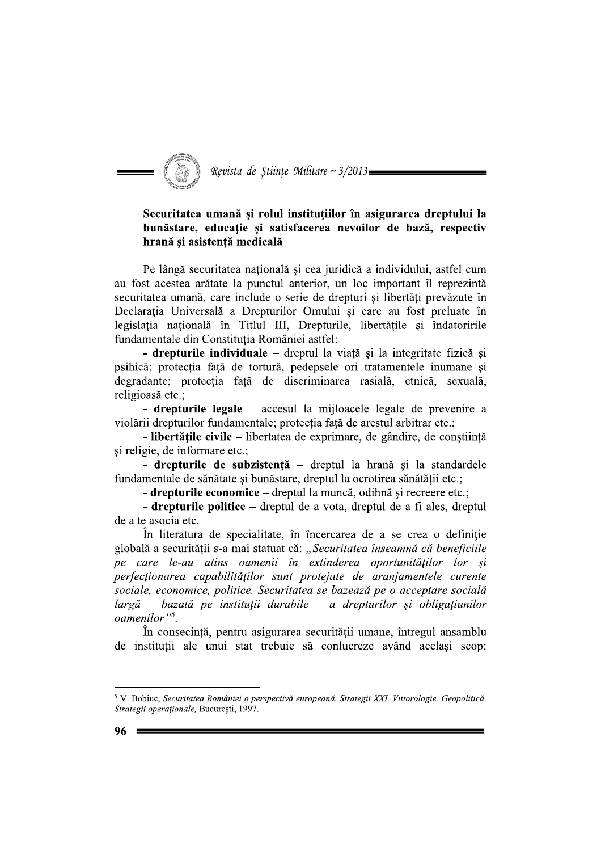

### Securitatea umană și rolul instituțiilor în asigurarea dreptului la bunăstare, educație și satisfacerea nevoilor de bază, respectiv hrană și asistență medicală

Pe lângă securitatea națională și cea juridică a individului, astfel cum au fost acestea arătate la punctul anterior, un loc important îl reprezintă securitatea umană, care include o serie de drepturi și libertăti prevăzute în Declarația Universală a Drepturilor Omului și care au fost preluate în legislația națională în Titlul III, Drepturile, libertățile și îndatoririle fundamentale din Constitutia României astfel:

- drepturile individuale – dreptul la viată și la integritate fizică și psihică; protecția față de tortură, pedepsele ori tratamentele inumane și degradante; protecția față de discriminarea rasială, etnică, sexuală, religioasă etc.;

- drepturile legale – accesul la mijloacele legale de prevenire a violării drepturilor fundamentale; protecția față de arestul arbitrar etc.;

- libertățile civile  $-$  libertatea de exprimare, de gândire, de conștiință si religie, de informare etc.:

- drepturile de subzistență – dreptul la hrană și la standardele fundamentale de sănătate și bunăstare, dreptul la ocrotirea sănătății etc.;

- drepturile economice – dreptul la muncă, odihnă și recreere etc.;

- drepturile politice  $-$  dreptul de a vota, dreptul de a fi ales, dreptul de a te asocia etc.

In literatura de specialitate, în încercarea de a se crea o definiție globală a securității s-a mai statuat că: "Securitatea înseamnă că beneficiile pe care le-au atins oamenii în extinderea oportunităților lor și perfecționarea capabilităților sunt protejate de aranjamentele curente sociale, economice, politice. Securitatea se bazează pe o acceptare socială  $larg\check{a}$  – bazată pe institutii durabile – a drepturilor și obligațiunilor oamenilor"<sup>5</sup>.

În consecință, pentru asigurarea securității umane, întregul ansamblu de instituții ale unui stat trebuie să conlucreze având același scop:

<sup>&</sup>lt;sup>5</sup> V. Bobiuc, Securitatea României o perspectivă europeană. Strategii XXI. Viitorologie. Geopolitică. Strategii operaționale, București, 1997.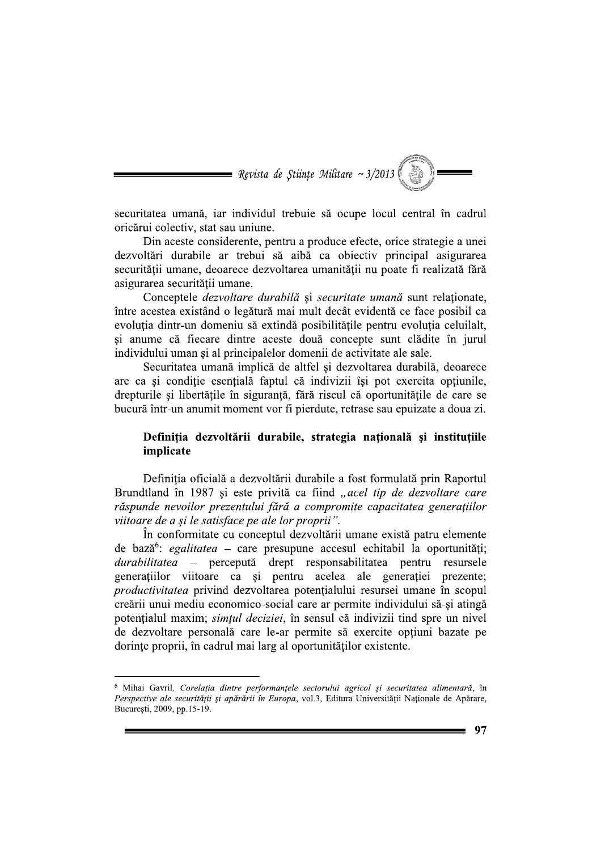Revista de Științe Militare ~ 3/2013 (

securitatea umană, iar individul trebuie să ocupe locul central în cadrul oricărui colectiv, stat sau uniune.

Din aceste considerente, pentru a produce efecte, orice strategie a unei dezvoltări durabile ar trebui să aibă ca obiectiv principal asigurarea securității umane, deoarece dezvoltarea umanității nu poate fi realizată fără asigurarea securității umane.

Conceptele *dezvoltare durabilă* și securitate umană sunt relationate, între acestea existând o legătură mai mult decât evidentă ce face posibil ca evoluția dintr-un domeniu să extindă posibilitățile pentru evoluția celuilalt, si anume că fiecare dintre aceste două concepte sunt clădite în jurul individului uman si al principalelor domenii de activitate ale sale.

Securitatea umană implică de altfel și dezvoltarea durabilă, deoarece are ca și condiție esențială faptul că indivizii își pot exercita opțiunile, drepturile si libertățile în siguranță, fără riscul că oportunitățile de care se bucură într-un anumit moment vor fi pierdute, retrase sau epuizate a doua zi.

### Definiția dezvoltării durabile, strategia națională și instituțiile implicate

Definiția oficială a dezvoltării durabile a fost formulată prin Raportul Brundtland în 1987 și este privită ca fiind "acel tip de dezvoltare care răspunde nevoilor prezentului fără a compromite capacitatea generațiilor viitoare de a și le satisface pe ale lor proprii".

În conformitate cu conceptul dezvoltării umane există patru elemente de bază<sup>6</sup>: *egalitatea* – care presupune accesul echitabil la oportunități; *durabilitatea* – percepută drept responsabilitatea pentru resursele generațiilor viitoare ca și pentru acelea ale generației prezente; productivitatea privind dezvoltarea potențialului resursei umane în scopul creării unui mediu economico-social care ar permite individului să-si atingă potențialul maxim; simțul deciziei, în sensul că indivizii tind spre un nivel de dezvoltare personală care le-ar permite să exercite optiuni bazate pe dorințe proprii, în cadrul mai larg al oportunităților existente.

<sup>&</sup>lt;sup>6</sup> Mihai Gavril, Corelația dintre performanțele sectorului agricol și securitatea alimentară, în Perspective ale securității și apărării în Europa, vol.3, Editura Universității Naționale de Apărare, București, 2009, pp.15-19.

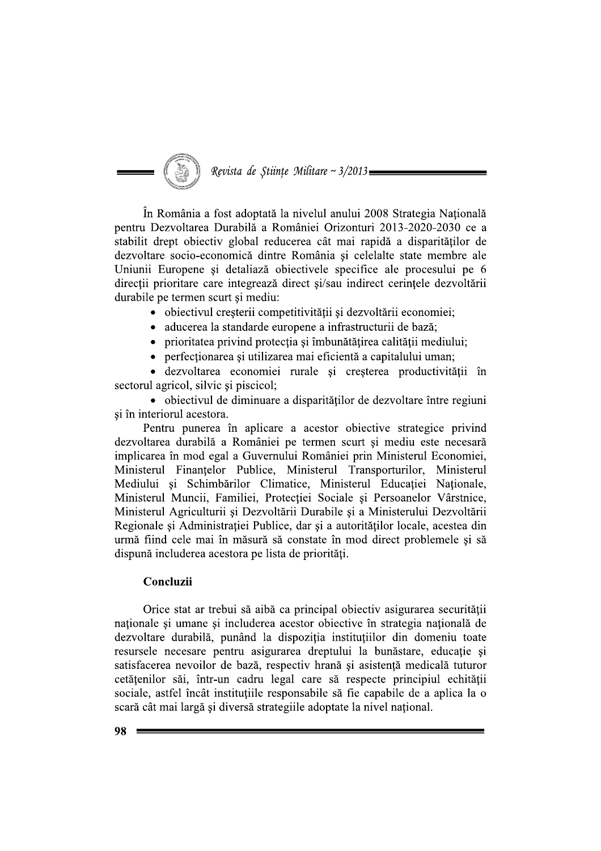

În România a fost adoptată la nivelul anului 2008 Strategia Națională pentru Dezvoltarea Durabilă a României Orizonturi 2013-2020-2030 ce a stabilit drept obiectiv global reducerea cât mai rapidă a disparităților de dezvoltare socio-economică dintre România și celelalte state membre ale Uniunii Europene și detaliază obiectivele specifice ale procesului pe 6 directii prioritare care integrează direct si/sau indirect cerintele dezvoltării durabile pe termen scurt și mediu:

- · obiectivul creșterii competitivității și dezvoltării economiei;
- · aducerea la standarde europene a infrastructurii de bază;
- prioritatea privind protecția și îmbunătățirea calității mediului;
- perfecționarea și utilizarea mai eficientă a capitalului uman;

· dezvoltarea economiei rurale si creșterea productivității în sectorul agricol, silvic și piscicol;

· obiectivul de diminuare a disparităților de dezvoltare între regiuni și în interiorul acestora.

Pentru punerea în aplicare a acestor obiective strategice privind dezvoltarea durabilă a României pe termen scurt și mediu este necesară implicarea în mod egal a Guvernului României prin Ministerul Economiei, Ministerul Finanțelor Publice, Ministerul Transporturilor, Ministerul Mediului și Schimbărilor Climatice, Ministerul Educației Naționale, Ministerul Muncii, Familiei, Protectiei Sociale și Persoanelor Vârstnice, Ministerul Agriculturii și Dezvoltării Durabile și a Ministerului Dezvoltării Regionale și Administrației Publice, dar și a autorităților locale, acestea din urmă fiind cele mai în măsură să constate în mod direct problemele și să dispună includerea acestora pe lista de priorități.

#### Concluzii

Orice stat ar trebui să aibă ca principal obiectiv asigurarea securității naționale și umane și includerea acestor obiective în strategia națională de dezvoltare durabilă, punând la dispoziția instituțiilor din domeniu toate resursele necesare pentru asigurarea dreptului la bunăstare, educație și satisfacerea nevoilor de bază, respectiv hrană și asistență medicală tuturor cetățenilor săi, într-un cadru legal care să respecte principiul echității sociale, astfel încât instituțiile responsabile să fie capabile de a aplica la o scară cât mai largă și diversă strategiile adoptate la nivel national.